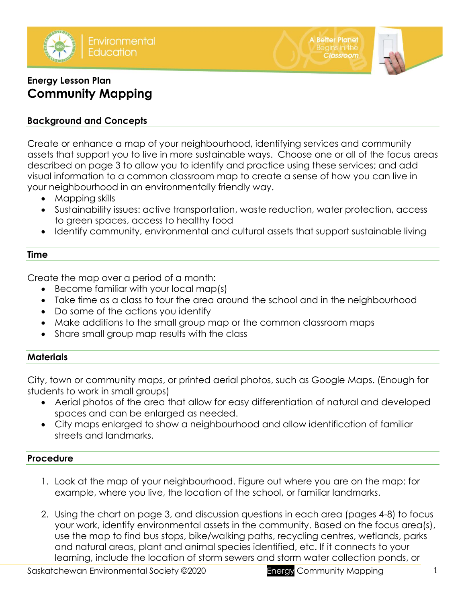



# **Energy Lesson Plan Community Mapping**

# **Background and Concepts**

Create or enhance a map of your neighbourhood, identifying services and community assets that support you to live in more sustainable ways. Choose one or all of the focus areas described on page 3 to allow you to identify and practice using these services; and add visual information to a common classroom map to create a sense of how you can live in your neighbourhood in an environmentally friendly way.

- Mapping skills
- Sustainability issues: active transportation, waste reduction, water protection, access to green spaces, access to healthy food
- Identify community, environmental and cultural assets that support sustainable living

### **Time**

Create the map over a period of a month:

- Become familiar with your local map(s)
- Take time as a class to tour the area around the school and in the neighbourhood
- Do some of the actions you identify
- Make additions to the small group map or the common classroom maps
- Share small group map results with the class

# **Materials**

City, town or community maps, or printed aerial photos, such as Google Maps. (Enough for students to work in small groups)

- Aerial photos of the area that allow for easy differentiation of natural and developed spaces and can be enlarged as needed.
- City maps enlarged to show a neighbourhood and allow identification of familiar streets and landmarks.

# **Procedure**

- 1. Look at the map of your neighbourhood. Figure out where you are on the map: for example, where you live, the location of the school, or familiar landmarks.
- 2. Using the chart on page 3, and discussion questions in each area (pages 4-8) to focus your work, identify environmental assets in the community. Based on the focus area(s), use the map to find bus stops, bike/walking paths, recycling centres, wetlands, parks and natural areas, plant and animal species identified, etc. If it connects to your learning, include the location of storm sewers and storm water collection ponds, or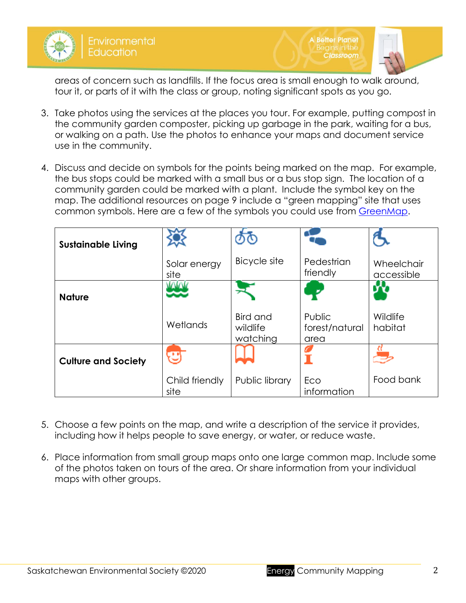

**A Better Planet Classroom** 



areas of concern such as landfills. If the focus area is small enough to walk around, tour it, or parts of it with the class or group, noting significant spots as you go.

- 3. Take photos using the services at the places you tour. For example, putting compost in the community garden composter, picking up garbage in the park, waiting for a bus, or walking on a path. Use the photos to enhance your maps and document service use in the community.
- 4. Discuss and decide on symbols for the points being marked on the map. For example, the bus stops could be marked with a small bus or a bus stop sign. The location of a community garden could be marked with a plant. Include the symbol key on the map. The additional resources on page 9 include a "green mapping" site that uses common symbols. Here are a few of the symbols you could use from [GreenMap.](https://www.greenmap.org/make-map/green-map-icons)

| <b>Sustainable Living</b>  |                        |                                  |                                  |                          |
|----------------------------|------------------------|----------------------------------|----------------------------------|--------------------------|
|                            | Solar energy<br>site   | <b>Bicycle site</b>              | Pedestrian<br>friendly           | Wheelchair<br>accessible |
| <b>Nature</b>              |                        |                                  |                                  |                          |
|                            | Wetlands               | Bird and<br>wildlife<br>watching | Public<br>forest/natural<br>area | Wildlife<br>habitat      |
| <b>Culture and Society</b> | æ                      |                                  |                                  |                          |
|                            | Child friendly<br>site | Public library                   | Eco<br>information               | Food bank                |

- 5. Choose a few points on the map, and write a description of the service it provides, including how it helps people to save energy, or water, or reduce waste.
- 6. Place information from small group maps onto one large common map. Include some of the photos taken on tours of the area. Or share information from your individual maps with other groups.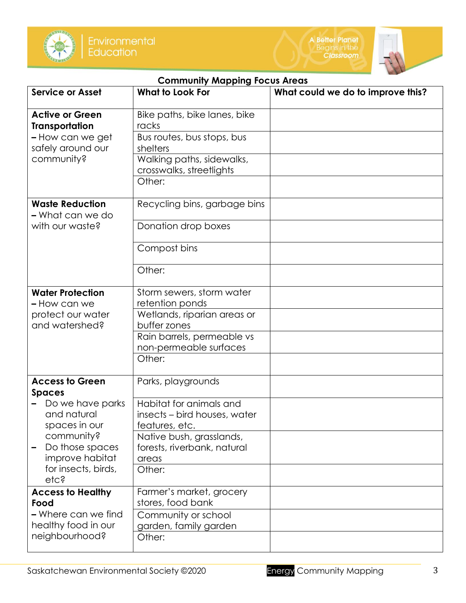



| <b>Community Mapping Focus Areas</b>                                                                                                |                                                                           |                                   |  |  |  |  |
|-------------------------------------------------------------------------------------------------------------------------------------|---------------------------------------------------------------------------|-----------------------------------|--|--|--|--|
| <b>Service or Asset</b>                                                                                                             | <b>What to Look For</b>                                                   | What could we do to improve this? |  |  |  |  |
| <b>Active or Green</b><br><b>Transportation</b>                                                                                     | Bike paths, bike lanes, bike<br>racks                                     |                                   |  |  |  |  |
| - How can we get<br>safely around our                                                                                               | Bus routes, bus stops, bus<br>shelters                                    |                                   |  |  |  |  |
| community?                                                                                                                          | Walking paths, sidewalks,<br>crosswalks, streetlights<br>Other:           |                                   |  |  |  |  |
| <b>Waste Reduction</b><br>- What can we do                                                                                          | Recycling bins, garbage bins                                              |                                   |  |  |  |  |
| with our waste?                                                                                                                     | Donation drop boxes                                                       |                                   |  |  |  |  |
|                                                                                                                                     | Compost bins                                                              |                                   |  |  |  |  |
|                                                                                                                                     | Other:                                                                    |                                   |  |  |  |  |
| <b>Water Protection</b><br>- How can we                                                                                             | Storm sewers, storm water<br>retention ponds                              |                                   |  |  |  |  |
| protect our water<br>and watershed?                                                                                                 | Wetlands, riparian areas or<br>buffer zones                               |                                   |  |  |  |  |
|                                                                                                                                     | Rain barrels, permeable vs<br>non-permeable surfaces                      |                                   |  |  |  |  |
|                                                                                                                                     | Other:                                                                    |                                   |  |  |  |  |
| <b>Access to Green</b><br><b>Spaces</b>                                                                                             | Parks, playgrounds                                                        |                                   |  |  |  |  |
| Do we have parks<br>and natural<br>spaces in our<br>community?<br>Do those spaces<br>improve habitat<br>for insects, birds,<br>etc? | Habitat for animals and<br>insects – bird houses, water<br>features, etc. |                                   |  |  |  |  |
|                                                                                                                                     | Native bush, grasslands,<br>forests, riverbank, natural<br>areas          |                                   |  |  |  |  |
|                                                                                                                                     | Other:                                                                    |                                   |  |  |  |  |
| <b>Access to Healthy</b><br>Food                                                                                                    | Farmer's market, grocery<br>stores, food bank                             |                                   |  |  |  |  |
| - Where can we find<br>healthy food in our                                                                                          | Community or school<br>garden, family garden                              |                                   |  |  |  |  |
| neighbourhood?                                                                                                                      | Other:                                                                    |                                   |  |  |  |  |

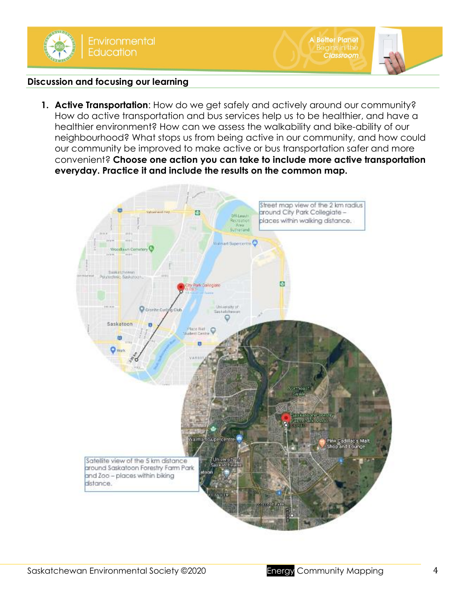



## **Discussion and focusing our learning**

**1. Active Transportation**: How do we get safely and actively around our community? How do active transportation and bus services help us to be healthier, and have a healthier environment? How can we assess the walkability and bike-ability of our neighbourhood? What stops us from being active in our community, and how could our community be improved to make active or bus transportation safer and more convenient? **Choose one action you can take to include more active transportation everyday. Practice it and include the results on the common map.**

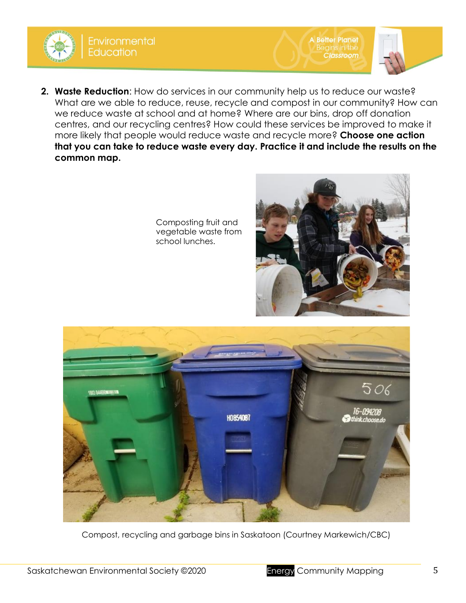

Composting fruit and vegetable waste from school lunches.



A Better Planet<br>Begins in the

**Classroom** 



Compost, recycling and garbage bins in Saskatoon (Courtney Markewich/CBC)

**Environmental Education**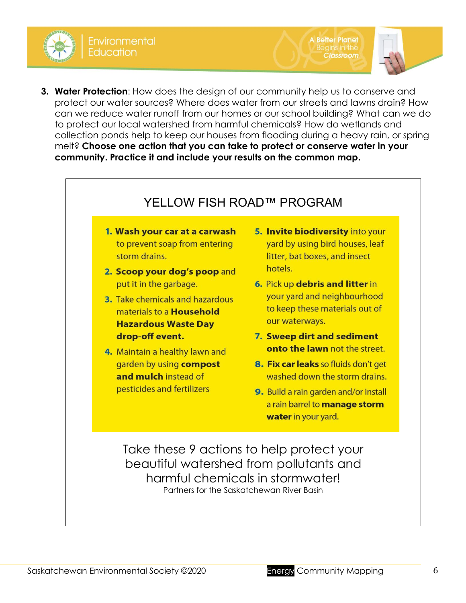

Environmental ducation



Partners for the Saskatchewan River Basin

**3. Water Protection**: How does the design of our community help us to conserve and

protect our water sources? Where does water from our streets and lawns drain? How

**A Better Planet** 

**Classroom**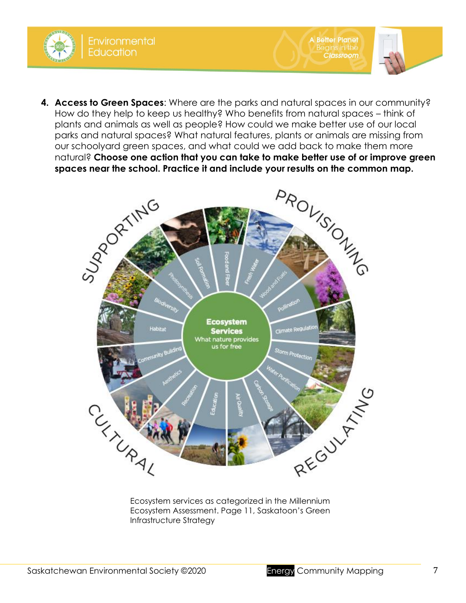

**A Better Planet** 

**Classroom** 



Ecosystem Assessment. Page 11, Saskatoon's Green Infrastructure Strategy

**Environmental** 

**Education**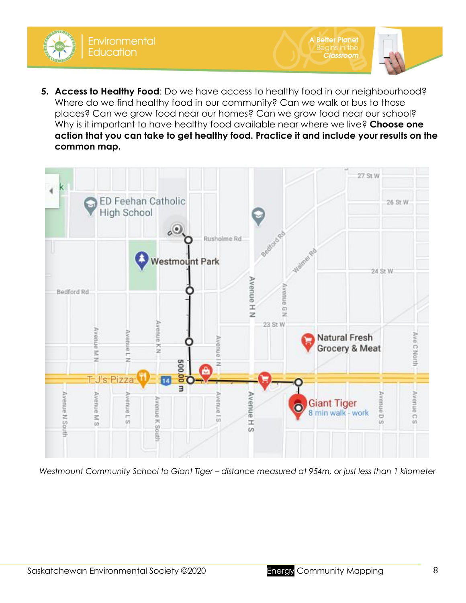**5. Access to Healthy Food**: Do we have access to healthy food in our neighbourhood? Where do we find healthy food in our community? Can we walk or bus to those places? Can we grow food near our homes? Can we grow food near our school? Why is it important to have healthy food available near where we live? **Choose one action that you can take to get healthy food. Practice it and include your results on the common map.** 

A Better Planet<br>Begins in the

**Classroom** 



*Westmount Community School to Giant Tiger – distance measured at 954m, or just less than 1 kilometer* 

**Education**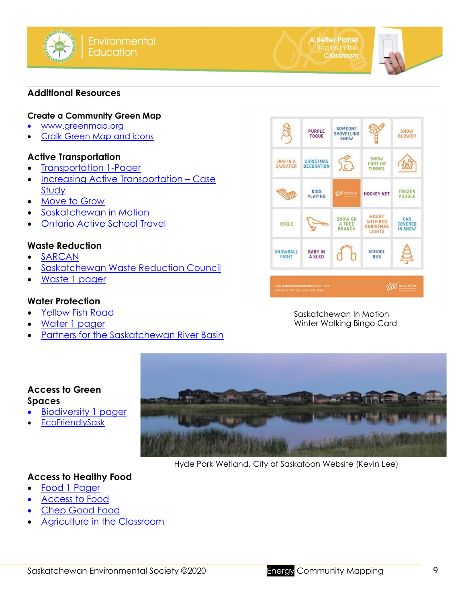



#### **Additional Resources**

#### **Create a Community Green Map**

- [www.greenmap.org](http://www.greenmap.org/)
- [Craik Green Map and icons](http://www.opengreenmap.org/greenmap/craik-online-green-map)

### **Active Transportation**

- [Transportation 1-Pager](http://environmentalsociety.ca/wp-content/uploads/2020/09/Transportation-1-pagers.pdf)
- [Increasing Active Transportation](http://environmentalsociety.ca/wp-content/uploads/2020/01/Increasing-Active-Transportation-Case-Study.pdf)  Case **[Study](http://environmentalsociety.ca/wp-content/uploads/2020/01/Increasing-Active-Transportation-Case-Study.pdf)**
- [Move to Grow](https://www.spsd.sk.ca/division/movetogrow/Pages/default.aspx#/=)
- [Saskatchewan in Motion](http://www.saskatchewaninmotion.ca/)
- **[Ontario Active School Travel](https://ontarioactiveschooltravel.ca/)**

### **Waste Reduction**

- **[SARCAN](https://www.sarcanschool.ca/)**
- [Saskatchewan Waste Reduction Council](http://www.saskwastereduction.ca/)
- [Waste 1 pager](http://environmentalsociety.ca/wp-content/uploads/2020/09/Waste-1-pagers1.pdf)

### **Water Protection**

- [Yellow Fish Road](https://www.saskatoon.ca/services-residents/power-water-sewer/storm-water/storm-water-system/yellow-fish-road)
- [Water 1 pager](http://environmentalsociety.ca/wp-content/uploads/2020/09/Water-1-pagers.pdf)

**Access to Green** 

**Spaces**

• [Partners for the Saskatchewan River Basin](http://www.saskriverbasin.ca/)



Saskatchewan In Motion Winter Walking Bingo Card



Hyde Park Wetland, City of Saskatoon Website (Kevin Lee)

# **Access to Healthy Food**

**[Biodiversity 1 pager](http://environmentalsociety.ca/wp-content/uploads/2018/07/Access-to-Food.pdf)** 

**[EcoFriendlySask](http://www.ecofriendlysask.ca/2014/05/protecting-and-constructing-urban.html)** 

- [Food 1 Pager](http://environmentalsociety.ca/wp-content/uploads/2020/09/Food-1-pagers1.pdf)
- [Access to Food](http://environmentalsociety.ca/wp-content/uploads/2018/07/Access-to-Food.pdf)
- [Chep Good Food](https://www.chep.org/)
- [Agriculture in the Classroom](https://aitc.sk.ca/)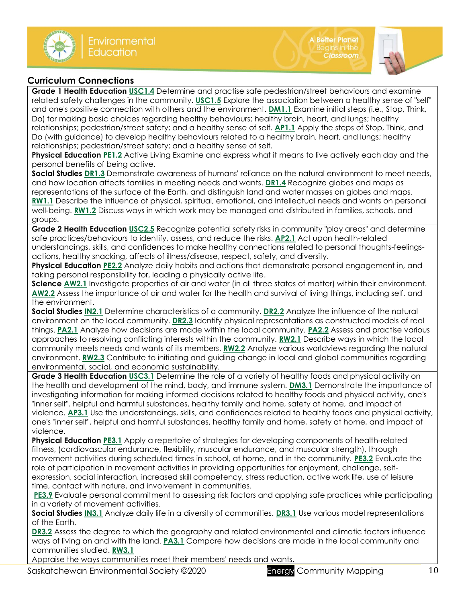

#### **Curriculum Connections**

**Grade 1 Health Education [USC1.4](https://www.edonline.sk.ca/webapps/moe-curriculum-BB5f208b6da4613/CurriculumOutcomeContent?id=45&oc=76042)** Determine and practise safe pedestrian/street behaviours and examine related safety challenges in the community. **[USC1.5](https://www.edonline.sk.ca/webapps/moe-curriculum-BB5f208b6da4613/CurriculumOutcomeContent?id=45&oc=76052)** Explore the association between a healthy sense of "self" and one's positive connection with others and the environment. **[DM1.1](https://www.edonline.sk.ca/webapps/moe-curriculum-BB5f208b6da4613/CurriculumOutcomeContent?id=45&oc=76064)** Examine initial steps (i.e., Stop, Think, Do) for making basic choices regarding healthy behaviours; healthy brain, heart, and lungs; healthy relationships; pedestrian/street safety; and a healthy sense of self. **[AP1.1](https://www.edonline.sk.ca/webapps/moe-curriculum-BB5f208b6da4613/CurriculumOutcomeContent?id=45&oc=76072)** Apply the steps of Stop, Think, and Do (with guidance) to develop healthy behaviours related to a healthy brain, heart, and lungs; healthy relationships; pedestrian/street safety; and a healthy sense of self.

**Physical Education [PE1.2](https://www.edonline.sk.ca/webapps/moe-curriculum-BB5f208b6da4613/CurriculumOutcomeContent?id=191&oc=29618)** Active Living Examine and express what it means to live actively each day and the personal benefits of being active.

**Social Studie[s DR1.3](https://www.edonline.sk.ca/webapps/moe-curriculum-BB5f208b6da4613/CurriculumOutcomeContent?id=164&oc=83399)** Demonstrate awareness of humans' reliance on the natural environment to meet needs, and how location affects families in meeting needs and wants. **[DR1.4](https://www.edonline.sk.ca/webapps/moe-curriculum-BB5f208b6da4613/CurriculumOutcomeContent?id=164&oc=83406)** Recognize globes and maps as representations of the surface of the Earth, and distinguish land and water masses on globes and maps. **[RW1.1](https://www.edonline.sk.ca/webapps/moe-curriculum-BB5f208b6da4613/CurriculumOutcomeContent?id=164&oc=83437)** Describe the influence of physical, spiritual, emotional, and intellectual needs and wants on personal well-being. **[RW1.2](https://www.edonline.sk.ca/webapps/moe-curriculum-BB5f208b6da4613/CurriculumOutcomeContent?id=164&oc=83444)** Discuss ways in which work may be managed and distributed in families, schools, and groups.

**Grade 2 Health Education [USC2.5](https://www.edonline.sk.ca/webapps/moe-curriculum-BB5f208b6da4613/CurriculumOutcomeContent?id=46&oc=76117)** Recognize potential safety risks in community "play areas" and determine safe practices/behaviours to identify, assess, and reduce the risks. **[AP2.1](https://www.edonline.sk.ca/webapps/moe-curriculum-BB5f208b6da4613/CurriculumOutcomeContent?id=46&oc=76145)** Act upon health-related understandings, skills, and confidences to make healthy connections related to personal thoughts-feelingsactions, healthy snacking, affects of illness/disease, respect, safety, and diversity.

**Physical Education [PE2.2](https://www.edonline.sk.ca/webapps/moe-curriculum-BB5f208b6da4613/CurriculumOutcomeContent?id=192&oc=29743)** Analyze daily habits and actions that demonstrate personal engagement in, and taking personal responsibility for, leading a physically active life.

**Scienc[e AW2.1](https://www.edonline.sk.ca/webapps/moe-curriculum-BB5f208b6da4613/CurriculumOutcomeContent?id=55&oc=24473)** Investigate properties of air and water (in all three states of matter) within their environment. **[AW2.2](https://www.edonline.sk.ca/webapps/moe-curriculum-BB5f208b6da4613/CurriculumOutcomeContent?id=55&oc=24484)** Assess the importance of air and water for the health and survival of living things, including self, and the environment.

**Social Studie[s IN2.1](https://www.edonline.sk.ca/webapps/moe-curriculum-BB5f208b6da4613/CurriculumOutcomeContent?id=165&oc=83451)** Determine characteristics of a community. **[DR2.2](https://www.edonline.sk.ca/webapps/moe-curriculum-BB5f208b6da4613/CurriculumOutcomeContent?id=165&oc=83472)** Analyze the influence of the natural environment on the local community. **[DR2.3](https://www.edonline.sk.ca/webapps/moe-curriculum-BB5f208b6da4613/CurriculumOutcomeContent?id=165&oc=83478)** Identify physical representations as constructed models of real things. **[PA2.1](https://www.edonline.sk.ca/webapps/moe-curriculum-BB5f208b6da4613/CurriculumOutcomeContent?id=165&oc=83491)** Analyze how decisions are made within the local community. **[PA2.2](https://www.edonline.sk.ca/webapps/moe-curriculum-BB5f208b6da4613/CurriculumOutcomeContent?id=165&oc=83497)** Assess and practise various approaches to resolving conflicting interests within the community. **[RW2.1](https://www.edonline.sk.ca/webapps/moe-curriculum-BB5f208b6da4613/CurriculumOutcomeContent?id=165&oc=83512)** Describe ways in which the local community meets needs and wants of its members. **[RW2.2](https://www.edonline.sk.ca/webapps/moe-curriculum-BB5f208b6da4613/CurriculumOutcomeContent?id=165&oc=83515)** Analyze various worldviews regarding the natural environment. **[RW2.3](https://www.edonline.sk.ca/webapps/moe-curriculum-BB5f208b6da4613/CurriculumOutcomeContent?id=165&oc=83521)** Contribute to initiating and guiding change in local and global communities regarding environmental, social, and economic sustainability.

**Grade 3 Health Education [USC3.1](https://www.edonline.sk.ca/webapps/moe-curriculum-BB5f208b6da4613/CurriculumOutcomeContent?id=47&oc=76151)** Determine the role of a variety of healthy foods and physical activity on the health and development of the mind, body, and immune system. **[DM3.1](https://www.edonline.sk.ca/webapps/moe-curriculum-BB5f208b6da4613/CurriculumOutcomeContent?id=47&oc=76210)** Demonstrate the importance of investigating information for making informed decisions related to healthy foods and physical activity, one's "inner self", helpful and harmful substances, healthy family and home, safety at home, and impact of violence. **[AP3.1](https://www.edonline.sk.ca/webapps/moe-curriculum-BB5f208b6da4613/CurriculumOutcomeContent?id=47&oc=76218)** Use the understandings, skills, and confidences related to healthy foods and physical activity, one's "inner self", helpful and harmful substances, healthy family and home, safety at home, and impact of violence.

**Physical Education [PE3.1](https://www.edonline.sk.ca/webapps/moe-curriculum-BB5f208b6da4613/CurriculumOutcomeContent?id=193&oc=29860)** Apply a repertoire of strategies for developing components of health-related fitness, (cardiovascular endurance, flexibility, muscular endurance, and muscular strength), through movement activities during scheduled times in school, at home, and in the community. **[PE3.2](https://www.edonline.sk.ca/webapps/moe-curriculum-BB5f208b6da4613/CurriculumOutcomeContent?id=193&oc=29877)** Evaluate the role of participation in movement activities in providing opportunities for enjoyment, challenge, selfexpression, social interaction, increased skill competency, stress reduction, active work life, use of leisure time, contact with nature, and involvement in communities.

**[PE3.9](https://www.edonline.sk.ca/webapps/moe-curriculum-BB5f208b6da4613/CurriculumOutcomeContent?id=193&oc=29988)** Evaluate personal commitment to assessing risk factors and applying safe practices while participating in a variety of movement activities.

**Social Studie[s IN3.1](https://www.edonline.sk.ca/webapps/moe-curriculum-BB5f208b6da4613/CurriculumOutcomeContent?id=166&oc=83526)** Analyze daily life in a diversity of communities. **[DR3.1](https://www.edonline.sk.ca/webapps/moe-curriculum-BB5f208b6da4613/CurriculumOutcomeContent?id=166&oc=83539)** Use various model representations of the Earth.

**[DR3.2](https://www.edonline.sk.ca/webapps/moe-curriculum-BB5f208b6da4613/CurriculumOutcomeContent?id=166&oc=83544)** Assess the degree to which the geography and related environmental and climatic factors influence ways of living on and with the land. **[PA3.1](https://www.edonline.sk.ca/webapps/moe-curriculum-BB5f208b6da4613/CurriculumOutcomeContent?id=166&oc=83554)** Compare how decisions are made in the local community and communities studied. **[RW3.1](https://www.edonline.sk.ca/webapps/moe-curriculum-BB5f208b6da4613/CurriculumOutcomeContent?id=166&oc=83575)**

Appraise the ways communities meet their members' needs and wants.

Saskatchewan Environmental Society ©2020 **Energy Community Mapping Community** Mapping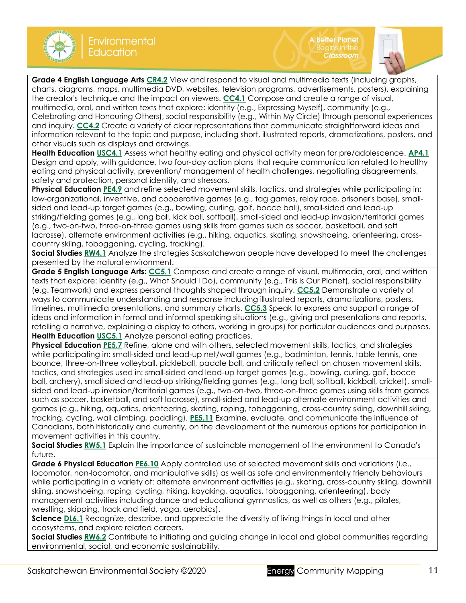



**Grade 4 English Language Arts [CR4.2](https://www.edonline.sk.ca/webapps/moe-curriculum-BB5f208b6da4613/CurriculumOutcomeContent?id=30&oc=64865)** View and respond to visual and multimedia texts (including graphs, charts, diagrams, maps, multimedia DVD, websites, television programs, advertisements, posters), explaining the creator's technique and the impact on viewers. **[CC4.1](https://www.edonline.sk.ca/webapps/moe-curriculum-BB5f208b6da4613/CurriculumOutcomeContent?id=30&oc=64895)** Compose and create a range of visual, multimedia, oral, and written texts that explore: identity (e.g., Expressing Myself), community (e.g., Celebrating and Honouring Others), social responsibility (e.g., Within My Circle) through personal experiences and inquiry. **[CC4.2](https://www.edonline.sk.ca/webapps/moe-curriculum-BB5f208b6da4613/CurriculumOutcomeContent?id=30&oc=64899)** Create a variety of clear representations that communicate straightforward ideas and information relevant to the topic and purpose, including short, illustrated reports, dramatizations, posters, and other visuals such as displays and drawings.

**Health Education [USC4.1](https://www.edonline.sk.ca/webapps/moe-curriculum-BB5f208b6da4613/CurriculumOutcomeContent?id=48&oc=76224)** Assess what healthy eating and physical activity mean for pre/adolescence. **[AP4.1](https://www.edonline.sk.ca/webapps/moe-curriculum-BB5f208b6da4613/CurriculumOutcomeContent?id=48&oc=76297)** Design and apply, with guidance, two four-day action plans that require communication related to healthy eating and physical activity, prevention/ management of health challenges, negotiating disagreements, safety and protection, personal identity, and stressors.

**Physical Education [PE4.9](https://www.edonline.sk.ca/webapps/moe-curriculum-BB5f208b6da4613/CurriculumOutcomeContent?id=194&oc=30097)** and refine selected movement skills, tactics, and strategies while participating in: low-organizational, inventive, and cooperative games (e.g., tag games, relay race, prisoner's base), smallsided and lead-up target games (e.g., bowling, curling, golf, bocce ball), small-sided and lead-up striking/fielding games (e.g., long ball, kick ball, softball), small-sided and lead-up invasion/territorial games (e.g., two-on-two, three-on-three games using skills from games such as soccer, basketball, and soft lacrosse), alternate environment activities (e.g., hiking, aquatics, skating, snowshoeing, orienteering, crosscountry skiing, tobogganing, cycling, tracking).

**Social Studies [RW4.1](https://www.edonline.sk.ca/webapps/moe-curriculum-BB5f208b6da4613/CurriculumOutcomeContent?id=167&oc=83656)** Analyze the strategies Saskatchewan people have developed to meet the challenges presented by the natural environment.

**Grade 5 English Language Arts: [CC5.1](https://www.edonline.sk.ca/webapps/moe-curriculum-BB5f208b6da4613/CurriculumOutcomeContent?id=31&oc=64976)** Compose and create a range of visual, multimedia, oral, and written texts that explore: identity (e.g., What Should I Do), community (e.g., This is Our Planet), social responsibility (e.g. Teamwork) and express personal thoughts shaped through inquiry. **[CC5.2](https://www.edonline.sk.ca/webapps/moe-curriculum-BB5f208b6da4613/CurriculumOutcomeContent?id=31&oc=64980)** Demonstrate a variety of ways to communicate understanding and response including illustrated reports, dramatizations, posters, timelines, multimedia presentations, and summary charts. **[CC5.3](https://www.edonline.sk.ca/webapps/moe-curriculum-BB5f208b6da4613/CurriculumOutcomeContent?id=31&oc=64990)** Speak to express and support a range of ideas and information in formal and informal speaking situations (e.g., giving oral presentations and reports, retelling a narrative, explaining a display to others, working in groups) for particular audiences and purposes. **Health Education [USC5.1](https://www.edonline.sk.ca/webapps/moe-curriculum-BB5f208b6da4613/CurriculumOutcomeContent?id=49&oc=76303)** Analyze personal eating practices.

**Physical Education [PE5.7](https://www.edonline.sk.ca/webapps/moe-curriculum-BB5f208b6da4613/CurriculumOutcomeContent?id=195&oc=99412)** Refine, alone and with others, selected movement skills, tactics, and strategies while participating in: small-sided and lead-up net/wall games (e.g., badminton, tennis, table tennis, one bounce, three-on-three volleyball, pickleball, paddle ball, and critically reflect on chosen movement skills, tactics, and strategies used in: small-sided and lead-up target games (e.g., bowling, curling, golf, bocce ball, archery), small sided and lead-up striking/fielding games (e.g., long ball, softball, kickball, cricket), smallsided and lead-up invasion/territorial games (e.g., two-on-two, three-on-three games using skills from games such as soccer, basketball, and soft lacrosse), small-sided and lead-up alternate environment activities and games (e.g., hiking, aquatics, orienteering, skating, roping, tobogganing, cross-country skiing, downhill skiing, tracking, cycling, wall climbing, paddling). **[PE5.11](https://www.edonline.sk.ca/webapps/moe-curriculum-BB5f208b6da4613/CurriculumOutcomeContent?id=195&oc=99443)** Examine, evaluate, and communicate the influence of Canadians, both historically and currently, on the development of the numerous options for participation in movement activities in this country.

**Social Studie[s RW5.1](https://www.edonline.sk.ca/webapps/moe-curriculum-BB5f208b6da4613/CurriculumOutcomeContent?id=168&oc=83738)** Explain the importance of sustainable management of the environment to Canada's future.

**Grade 6 Physical Education [PE6.10](https://www.edonline.sk.ca/webapps/moe-curriculum-BB5f208b6da4613/CurriculumOutcomeContent?id=196&oc=30363)** Apply controlled use of selected movement skills and variations (i.e., locomotor, non-locomotor, and manipulative skills) as well as safe and environmentally friendly behaviours while participating in a variety of: alternate environment activities (e.g., skating, cross-country skiing, downhill skiing, snowshoeing, roping, cycling, hiking, kayaking, aquatics, tobogganing, orienteering), body management activities including dance and educational gymnastics, as well as others (e.g., pilates, wrestling, skipping, track and field, yoga, aerobics).

**Scienc[e DL6.1](https://www.edonline.sk.ca/webapps/moe-curriculum-BB5f208b6da4613/CurriculumOutcomeContent?id=59&oc=69308)** Recognize, describe, and appreciate the diversity of living things in local and other ecosystems, and explore related careers.

**Social Studie[s RW6.2](https://www.edonline.sk.ca/webapps/moe-curriculum-BB5f208b6da4613/CurriculumOutcomeContent?id=169&oc=83827)** Contribute to initiating and guiding change in local and global communities regarding environmental, social, and economic sustainability.